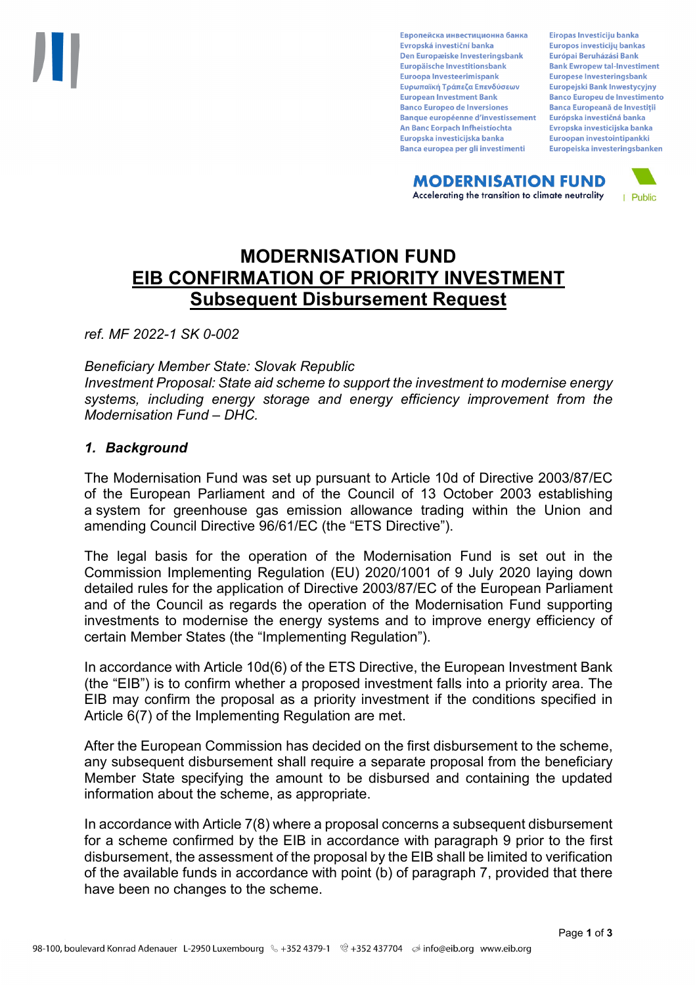Европейска инвестиционна банка Evropská investiční banka Den Europæiske Investeringsbank Europäische Investitionsbank Euroopa Investeerimispank Ευρωπαϊκή Τράπεζα Επενδύσεων **European Investment Bank Banco Europeo de Inversiones Banque européenne d'investissement** An Banc Eorpach Infheistíochta Europska investicijska banka Banca europea per gli investimenti

Eiropas Investīciju banka Europos investicijų bankas Európai Beruházási Bank **Bank Ewropew tal-Investiment** Europese Investeringsbank **Europejski Bank Inwestycyjny Banco Europeu de Investimento Banca Europeană de Investiții** Európska investičná banka Evropska investicijska banka Euroopan investointipankki Europeiska investeringsbanken

**MODERNISATION FUND** Accelerating the transition to climate neutrality



# **MODERNISATION FUND EIB CONFIRMATION OF PRIORITY INVESTMENT Subsequent Disbursement Request**

*ref. MF 2022-1 SK 0-002*

*Beneficiary Member State: Slovak Republic*

*Investment Proposal: State aid scheme to support the investment to modernise energy systems, including energy storage and energy efficiency improvement from the Modernisation Fund – DHC.* 

### *1. Background*

The Modernisation Fund was set up pursuant to Article 10d of Directive 2003/87/EC of the European Parliament and of the Council of 13 October 2003 establishing a system for greenhouse gas emission allowance trading within the Union and amending Council Directive 96/61/EC (the "ETS Directive").

The legal basis for the operation of the Modernisation Fund is set out in the Commission Implementing Regulation (EU) 2020/1001 of 9 July 2020 laying down detailed rules for the application of Directive 2003/87/EC of the European Parliament and of the Council as regards the operation of the Modernisation Fund supporting investments to modernise the energy systems and to improve energy efficiency of certain Member States (the "Implementing Regulation").

In accordance with Article 10d(6) of the ETS Directive, the European Investment Bank (the "EIB") is to confirm whether a proposed investment falls into a priority area. The EIB may confirm the proposal as a priority investment if the conditions specified in Article 6(7) of the Implementing Regulation are met.

After the European Commission has decided on the first disbursement to the scheme, any subsequent disbursement shall require a separate proposal from the beneficiary Member State specifying the amount to be disbursed and containing the updated information about the scheme, as appropriate.

In accordance with Article 7(8) where a proposal concerns a subsequent disbursement for a scheme confirmed by the EIB in accordance with paragraph 9 prior to the first disbursement, the assessment of the proposal by the EIB shall be limited to verification of the available funds in accordance with point (b) of paragraph 7, provided that there have been no changes to the scheme.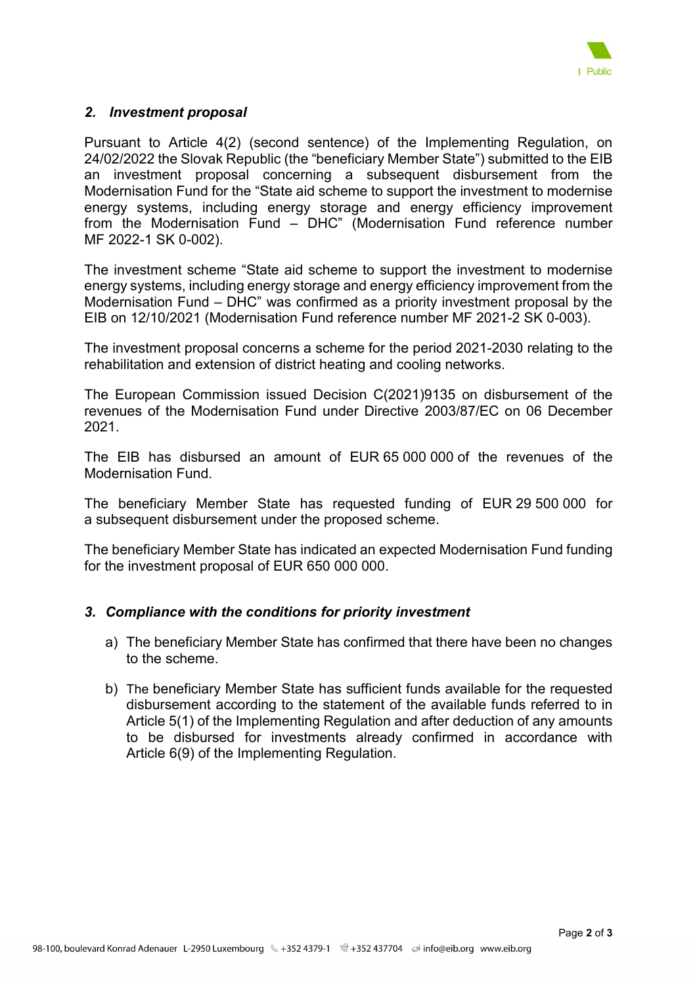

#### *2. Investment proposal*

Pursuant to Article 4(2) (second sentence) of the Implementing Regulation, on 24/02/2022 the Slovak Republic (the "beneficiary Member State") submitted to the EIB an investment proposal concerning a subsequent disbursement from the Modernisation Fund for the "State aid scheme to support the investment to modernise energy systems, including energy storage and energy efficiency improvement from the Modernisation Fund – DHC" (Modernisation Fund reference number MF 2022-1 SK 0-002).

The investment scheme "State aid scheme to support the investment to modernise energy systems, including energy storage and energy efficiency improvement from the Modernisation Fund – DHC" was confirmed as a priority investment proposal by the EIB on 12/10/2021 (Modernisation Fund reference number MF 2021-2 SK 0-003).

The investment proposal concerns a scheme for the period 2021-2030 relating to the rehabilitation and extension of district heating and cooling networks.

The European Commission issued Decision C(2021)9135 on disbursement of the revenues of the Modernisation Fund under Directive 2003/87/EC on 06 December 2021.

The EIB has disbursed an amount of EUR 65 000 000 of the revenues of the Modernisation Fund.

The beneficiary Member State has requested funding of EUR 29 500 000 for a subsequent disbursement under the proposed scheme.

The beneficiary Member State has indicated an expected Modernisation Fund funding for the investment proposal of EUR 650 000 000.

#### *3. Compliance with the conditions for priority investment*

- a) The beneficiary Member State has confirmed that there have been no changes to the scheme.
- b) The beneficiary Member State has sufficient funds available for the requested disbursement according to the statement of the available funds referred to in Article 5(1) of the Implementing Regulation and after deduction of any amounts to be disbursed for investments already confirmed in accordance with Article 6(9) of the Implementing Regulation.